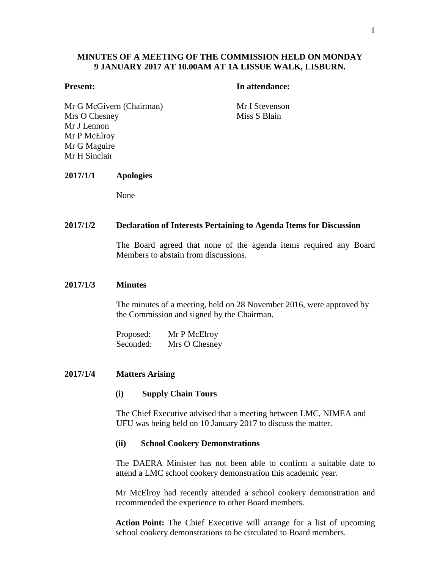# **MINUTES OF A MEETING OF THE COMMISSION HELD ON MONDAY 9 JANUARY 2017 AT 10.00AM AT 1A LISSUE WALK, LISBURN.**

## **Present: In attendance:**

Mr G McGivern (Chairman) Mr I Stevenson Mrs O Chesney Mr J Lennon Mr P McElroy Mr G Maguire Mr H Sinclair

Miss S Blain

# **2017/1/1 Apologies**

None

## **2017/1/2 Declaration of Interests Pertaining to Agenda Items for Discussion**

The Board agreed that none of the agenda items required any Board Members to abstain from discussions.

### **2017/1/3 Minutes**

The minutes of a meeting, held on 28 November 2016, were approved by the Commission and signed by the Chairman.

Proposed: Mr P McElroy Seconded: Mrs O Chesney

## **2017/1/4 Matters Arising**

## **(i) Supply Chain Tours**

The Chief Executive advised that a meeting between LMC, NIMEA and UFU was being held on 10 January 2017 to discuss the matter.

## **(ii) School Cookery Demonstrations**

The DAERA Minister has not been able to confirm a suitable date to attend a LMC school cookery demonstration this academic year.

Mr McElroy had recently attended a school cookery demonstration and recommended the experience to other Board members.

**Action Point:** The Chief Executive will arrange for a list of upcoming school cookery demonstrations to be circulated to Board members.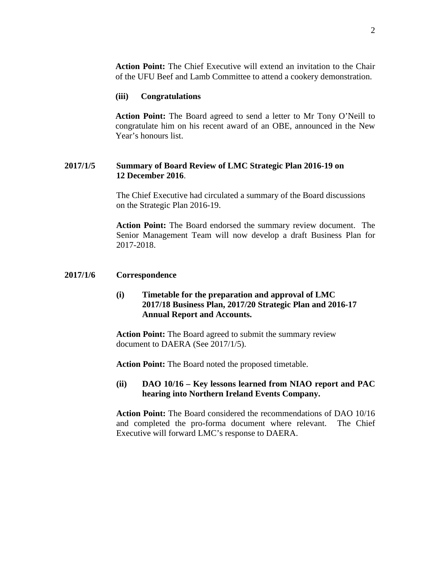**Action Point:** The Chief Executive will extend an invitation to the Chair of the UFU Beef and Lamb Committee to attend a cookery demonstration.

## **(iii) Congratulations**

**Action Point:** The Board agreed to send a letter to Mr Tony O'Neill to congratulate him on his recent award of an OBE, announced in the New Year's honours list.

# **2017/1/5 Summary of Board Review of LMC Strategic Plan 2016-19 on 12 December 2016**.

The Chief Executive had circulated a summary of the Board discussions on the Strategic Plan 2016-19.

**Action Point:** The Board endorsed the summary review document. The Senior Management Team will now develop a draft Business Plan for 2017-2018.

## **2017/1/6 Correspondence**

# **(i) Timetable for the preparation and approval of LMC 2017/18 Business Plan, 2017/20 Strategic Plan and 2016-17 Annual Report and Accounts.**

**Action Point:** The Board agreed to submit the summary review document to DAERA (See 2017/1/5).

**Action Point:** The Board noted the proposed timetable.

# **(ii) DAO 10/16 – Key lessons learned from NIAO report and PAC hearing into Northern Ireland Events Company.**

**Action Point:** The Board considered the recommendations of DAO 10/16 and completed the pro-forma document where relevant. The Chief Executive will forward LMC's response to DAERA.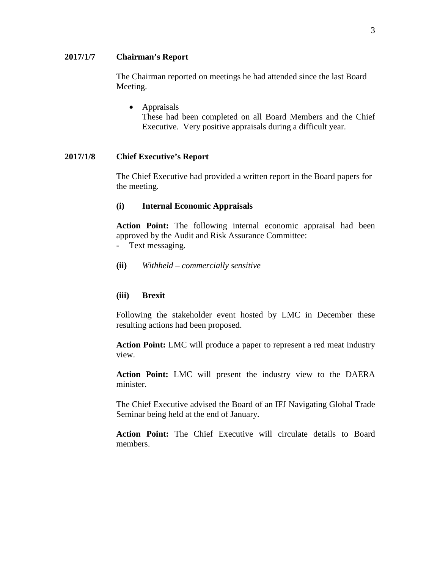# **2017/1/7 Chairman's Report**

The Chairman reported on meetings he had attended since the last Board Meeting.

• Appraisals These had been completed on all Board Members and the Chief Executive. Very positive appraisals during a difficult year.

## **2017/1/8 Chief Executive's Report**

The Chief Executive had provided a written report in the Board papers for the meeting.

# **(i) Internal Economic Appraisals**

**Action Point:** The following internal economic appraisal had been approved by the Audit and Risk Assurance Committee: - Text messaging.

- 
- **(ii)** *Withheld – commercially sensitive*

# **(iii) Brexit**

Following the stakeholder event hosted by LMC in December these resulting actions had been proposed.

**Action Point:** LMC will produce a paper to represent a red meat industry view.

**Action Point:** LMC will present the industry view to the DAERA minister.

The Chief Executive advised the Board of an IFJ Navigating Global Trade Seminar being held at the end of January.

**Action Point:** The Chief Executive will circulate details to Board members.